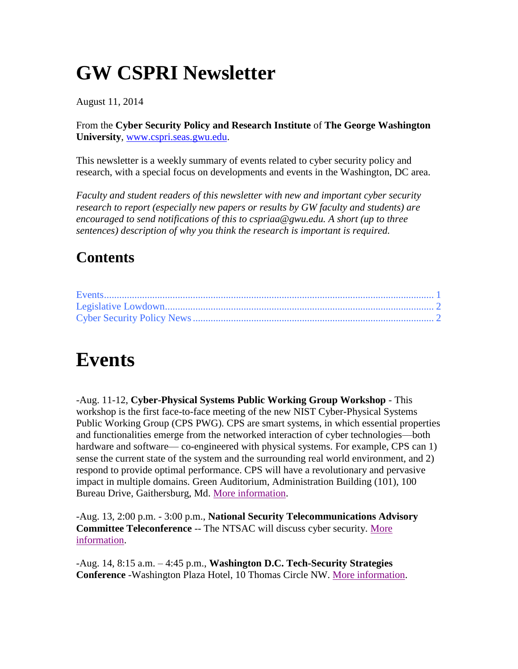## **GW CSPRI Newsletter**

August 11, 2014

From the **Cyber Security Policy and Research Institute** of **The George Washington University**, [www.cspri.seas.gwu.edu.](http://www.cspri.seas.gwu.edu/)

This newsletter is a weekly summary of events related to cyber security policy and research, with a special focus on developments and events in the Washington, DC area.

*Faculty and student readers of this newsletter with new and important cyber security research to report (especially new papers or results by GW faculty and students) are encouraged to send notifications of this to cspriaa@gwu.edu. A short (up to three sentences) description of why you think the research is important is required.*

#### **Contents**

### <span id="page-0-0"></span>**Events**

-Aug. 11-12, **Cyber-Physical Systems Public Working Group Workshop** - This workshop is the first face-to-face meeting of the new NIST Cyber-Physical Systems Public Working Group (CPS PWG). CPS are smart systems, in which essential properties and functionalities emerge from the networked interaction of cyber technologies—both hardware and software— co-engineered with physical systems. For example, CPS can 1) sense the current state of the system and the surrounding real world environment, and 2) respond to provide optimal performance. CPS will have a revolutionary and pervasive impact in multiple domains. Green Auditorium, Administration Building (101), 100 Bureau Drive, Gaithersburg, Md. [More information.](http://nist.gov/cps/cps-pwg-workshop.cfm)

-Aug. 13, 2:00 p.m. - 3:00 p.m., **National Security Telecommunications Advisory Committee Teleconference** -- The NTSAC will discuss cyber security. [More](http://www.gpo.gov/fdsys/pkg/FR-2014-07-24/html/2014-17427.htm)  [information.](http://www.gpo.gov/fdsys/pkg/FR-2014-07-24/html/2014-17427.htm)

<span id="page-0-1"></span>-Aug. 14, 8:15 a.m. – 4:45 p.m., **Washington D.C. Tech-Security Strategies Conference** -Washington Plaza Hotel, 10 Thomas Circle NW. [More information.](http://www.dataconnectors.com/events/2014/08DC/agenda.asp)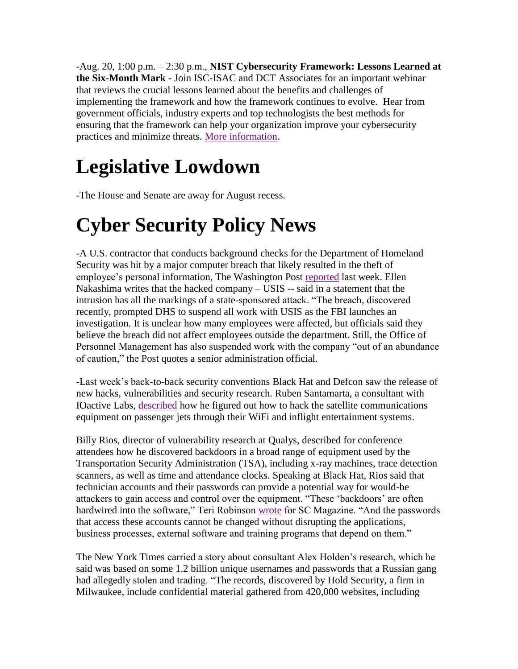-Aug. 20, 1:00 p.m. – 2:30 p.m., **NIST Cybersecurity Framework: Lessons Learned at the Six-Month Mark** - Join ISC-ISAC and DCT Associates for an important webinar that reviews the crucial lessons learned about the benefits and challenges of implementing the framework and how the framework continues to evolve. Hear from government officials, industry experts and top technologists the best methods for ensuring that the framework can help your organization improve your cybersecurity practices and minimize threats. [More information.](https://attendee.gotowebinar.com/register/6289171685678588930)

# **Legislative Lowdown**

-The House and Senate are away for August recess.

## <span id="page-1-0"></span>**Cyber Security Policy News**

-A U.S. contractor that conducts background checks for the Department of Homeland Security was hit by a major computer breach that likely resulted in the theft of employee's personal information, The Washington Post [reported](http://www.washingtonpost.com/world/national-security/dhs-contractor-suffers-major-computer-breach-officials-say/2014/08/06/8ed131b4-1d89-11e4-ae54-0cfe1f974f8a_story.html) last week. Ellen Nakashima writes that the hacked company – USIS -- said in a statement that the intrusion has all the markings of a state-sponsored attack. "The breach, discovered recently, prompted DHS to suspend all work with USIS as the FBI launches an investigation. It is unclear how many employees were affected, but officials said they believe the breach did not affect employees outside the department. Still, the Office of Personnel Management has also suspended work with the company "out of an abundance of caution," the Post quotes a senior administration official.

-Last week's back-to-back security conventions Black Hat and Defcon saw the release of new hacks, vulnerabilities and security research. Ruben Santamarta, a consultant with IOactive Labs, [described](http://www.reuters.com/article/2014/08/04/us-cybersecurity-hackers-airplanes-idUSKBN0G40WQ20140804) how he figured out how to hack the satellite communications equipment on passenger jets through their WiFi and inflight entertainment systems.

Billy Rios, director of vulnerability research at Qualys, described for conference attendees how he discovered backdoors in a broad range of equipment used by the Transportation Security Administration (TSA), including x-ray machines, trace detection scanners, as well as time and attendance clocks. Speaking at Black Hat, Rios said that technician accounts and their passwords can provide a potential way for would-be attackers to gain access and control over the equipment. "These 'backdoors' are often hardwired into the software," Teri Robinson [wrote](http://www.scmagazine.com/black-hat-airport-security-equipment-at-risk/article/365044/) for SC Magazine. "And the passwords that access these accounts cannot be changed without disrupting the applications, business processes, external software and training programs that depend on them."

The New York Times carried a story about consultant Alex Holden's research, which he said was based on some 1.2 billion unique usernames and passwords that a Russian gang had allegedly stolen and trading. "The records, discovered by Hold Security, a firm in Milwaukee, include confidential material gathered from 420,000 websites, including